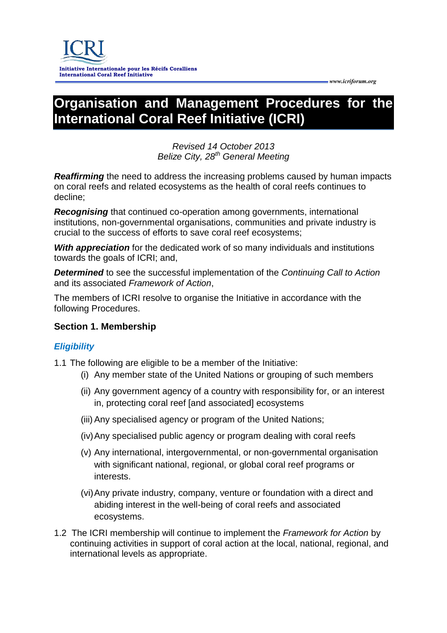# **Organisation and Management Procedures for the International Coral Reef Initiative (ICRI)**

# *Revised 14 October 2013 Belize City, 28th General Meeting*

*Reaffirming* the need to address the increasing problems caused by human impacts on coral reefs and related ecosystems as the health of coral reefs continues to decline;

*Recognising* that continued co-operation among governments, international institutions, non-governmental organisations, communities and private industry is crucial to the success of efforts to save coral reef ecosystems;

*With appreciation* for the dedicated work of so many individuals and institutions towards the goals of ICRI; and,

*Determined* to see the successful implementation of the *Continuing Call to Action*  and its associated *Framework of Action*,

The members of ICRI resolve to organise the Initiative in accordance with the following Procedures.

# **Section 1. Membership**

# *Eligibility*

1.1 The following are eligible to be a member of the Initiative:

- (i) Any member state of the United Nations or grouping of such members
- (ii) Any government agency of a country with responsibility for, or an interest in, protecting coral reef [and associated] ecosystems
- (iii) Any specialised agency or program of the United Nations;
- (iv)Any specialised public agency or program dealing with coral reefs
- (v) Any international, intergovernmental, or non-governmental organisation with significant national, regional, or global coral reef programs or interests.
- (vi)Any private industry, company, venture or foundation with a direct and abiding interest in the well-being of coral reefs and associated ecosystems.
- 1.2 The ICRI membership will continue to implement the *Framework for Action* by continuing activities in support of coral action at the local, national, regional, and international levels as appropriate.

 *www.icriforum.org*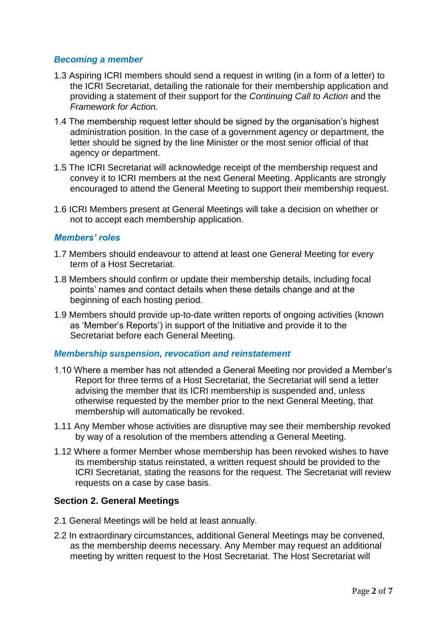# *Becoming a member*

- 1.3 Aspiring ICRI members should send a request in writing (in a form of a letter) to the ICRI Secretariat, detailing the rationale for their membership application and providing a statement of their support for the *Continuing Call to Action* and the *Framework for Action.*
- 1.4 The membership request letter should be signed by the organisation's highest administration position. In the case of a government agency or department, the letter should be signed by the line Minister or the most senior official of that agency or department.
- 1.5 The ICRI Secretariat will acknowledge receipt of the membership request and convey it to ICRI members at the next General Meeting. Applicants are strongly encouraged to attend the General Meeting to support their membership request.
- 1.6 ICRI Members present at General Meetings will take a decision on whether or not to accept each membership application.

# *Members' roles*

- 1.7 Members should endeavour to attend at least one General Meeting for every term of a Host Secretariat.
- 1.8 Members should confirm or update their membership details, including focal points' names and contact details when these details change and at the beginning of each hosting period.
- 1.9 Members should provide up-to-date written reports of ongoing activities (known as 'Member's Reports') in support of the Initiative and provide it to the Secretariat before each General Meeting.

# *Membership suspension, revocation and reinstatement*

- 1.10 Where a member has not attended a General Meeting nor provided a Member's Report for three terms of a Host Secretariat, the Secretariat will send a letter advising the member that its ICRI membership is suspended and, unless otherwise requested by the member prior to the next General Meeting, that membership will automatically be revoked.
- 1.11 Any Member whose activities are disruptive may see their membership revoked by way of a resolution of the members attending a General Meeting.
- 1.12 Where a former Member whose membership has been revoked wishes to have its membership status reinstated, a written request should be provided to the ICRI Secretariat, stating the reasons for the request. The Secretariat will review requests on a case by case basis.

# **Section 2. General Meetings**

- 2.1 General Meetings will be held at least annually.
- 2.2 In extraordinary circumstances, additional General Meetings may be convened, as the membership deems necessary. Any Member may request an additional meeting by written request to the Host Secretariat. The Host Secretariat will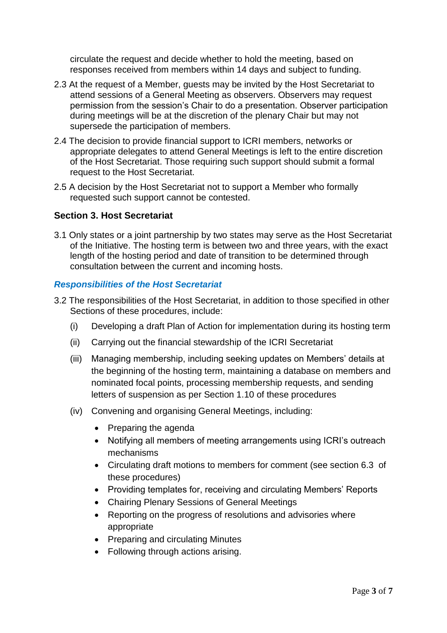circulate the request and decide whether to hold the meeting, based on responses received from members within 14 days and subject to funding.

- 2.3 At the request of a Member, guests may be invited by the Host Secretariat to attend sessions of a General Meeting as observers. Observers may request permission from the session's Chair to do a presentation. Observer participation during meetings will be at the discretion of the plenary Chair but may not supersede the participation of members.
- 2.4 The decision to provide financial support to ICRI members, networks or appropriate delegates to attend General Meetings is left to the entire discretion of the Host Secretariat. Those requiring such support should submit a formal request to the Host Secretariat.
- 2.5 A decision by the Host Secretariat not to support a Member who formally requested such support cannot be contested.

# **Section 3. Host Secretariat**

3.1 Only states or a joint partnership by two states may serve as the Host Secretariat of the Initiative. The hosting term is between two and three years, with the exact length of the hosting period and date of transition to be determined through consultation between the current and incoming hosts.

#### *Responsibilities of the Host Secretariat*

- 3.2 The responsibilities of the Host Secretariat, in addition to those specified in other Sections of these procedures, include:
	- (i) Developing a draft Plan of Action for implementation during its hosting term
	- (ii) Carrying out the financial stewardship of the ICRI Secretariat
	- (iii) Managing membership, including seeking updates on Members' details at the beginning of the hosting term, maintaining a database on members and nominated focal points, processing membership requests, and sending letters of suspension as per Section 1.10 of these procedures
	- (iv) Convening and organising General Meetings, including:
		- Preparing the agenda
		- Notifying all members of meeting arrangements using ICRI's outreach mechanisms
		- Circulating draft motions to members for comment (see section 6.3 of these procedures)
		- Providing templates for, receiving and circulating Members' Reports
		- Chairing Plenary Sessions of General Meetings
		- Reporting on the progress of resolutions and advisories where appropriate
		- Preparing and circulating Minutes
		- Following through actions arising.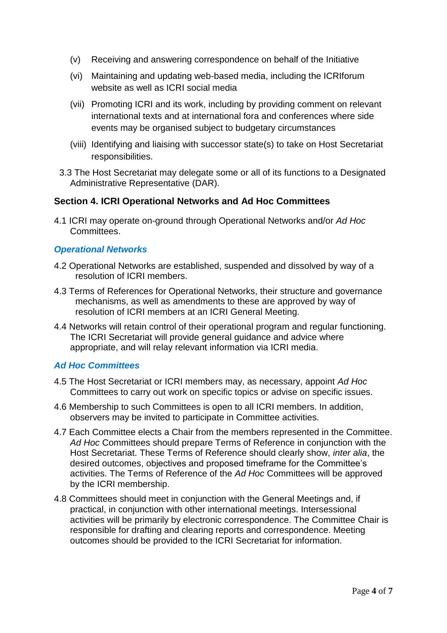- (v) Receiving and answering correspondence on behalf of the Initiative
- (vi) Maintaining and updating web-based media, including the ICRIforum website as well as ICRI social media
- (vii) Promoting ICRI and its work, including by providing comment on relevant international texts and at international fora and conferences where side events may be organised subject to budgetary circumstances
- (viii) Identifying and liaising with successor state(s) to take on Host Secretariat responsibilities.
- 3.3 The Host Secretariat may delegate some or all of its functions to a Designated Administrative Representative (DAR).

# **Section 4. ICRI Operational Networks and Ad Hoc Committees**

4.1 ICRI may operate on-ground through Operational Networks and/or *Ad Hoc* Committees.

#### *Operational Networks*

- 4.2 Operational Networks are established, suspended and dissolved by way of a resolution of ICRI members.
- 4.3 Terms of References for Operational Networks, their structure and governance mechanisms, as well as amendments to these are approved by way of resolution of ICRI members at an ICRI General Meeting.
- 4.4 Networks will retain control of their operational program and regular functioning. The ICRI Secretariat will provide general guidance and advice where appropriate, and will relay relevant information via ICRI media.

# *Ad Hoc Committees*

- 4.5 The Host Secretariat or ICRI members may, as necessary, appoint *Ad Hoc* Committees to carry out work on specific topics or advise on specific issues.
- 4.6 Membership to such Committees is open to all ICRI members. In addition, observers may be invited to participate in Committee activities.
- 4.7 Each Committee elects a Chair from the members represented in the Committee. *Ad Hoc* Committees should prepare Terms of Reference in conjunction with the Host Secretariat. These Terms of Reference should clearly show, *inter alia*, the desired outcomes, objectives and proposed timeframe for the Committee's activities. The Terms of Reference of the *Ad Hoc* Committees will be approved by the ICRI membership.
- 4.8 Committees should meet in conjunction with the General Meetings and, if practical, in conjunction with other international meetings. Intersessional activities will be primarily by electronic correspondence. The Committee Chair is responsible for drafting and clearing reports and correspondence. Meeting outcomes should be provided to the ICRI Secretariat for information.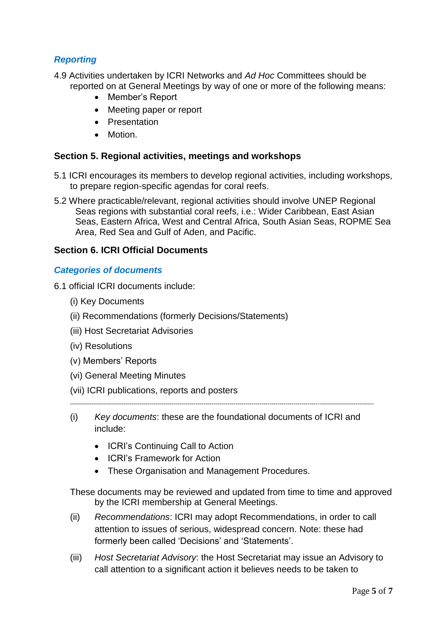# *Reporting*

- 4.9 Activities undertaken by ICRI Networks and *Ad Hoc* Committees should be reported on at General Meetings by way of one or more of the following means:
	- Member's Report
	- Meeting paper or report
	- Presentation
	- Motion.

### **Section 5. Regional activities, meetings and workshops**

- 5.1 ICRI encourages its members to develop regional activities, including workshops, to prepare region-specific agendas for coral reefs.
- 5.2 Where practicable/relevant, regional activities should involve UNEP Regional Seas regions with substantial coral reefs, i.e.: [Wider Caribbean,](http://www.unep.org/regionalseas/programmes/unpro/caribbean/default.asp) [East Asian](http://www.unep.org/regionalseas/programmes/unpro/eastasian/default.asp)  [Seas,](http://www.unep.org/regionalseas/programmes/unpro/eastasian/default.asp) Eastern Africa, West and Central Africa, [South Asian Seas,](http://www.unep.org/regionalseas/programmes/nonunep/southasian/default.asp) [ROPME Sea](http://www.unep.org/regionalseas/programmes/nonunep/ropme/default.asp)  [Area,](http://www.unep.org/regionalseas/programmes/nonunep/ropme/default.asp) [Red Sea and Gulf of Aden,](http://www.unep.org/regionalseas/programmes/nonunep/redsea/default.asp) and [Pacific.](http://www.unep.org/regionalseas/programmes/nonunep/pacific/default.asp)

# **Section 6. ICRI Official Documents**

# *Categories of documents*

- 6.1 official ICRI documents include:
	- (i) Key Documents
	- (ii) Recommendations (formerly Decisions/Statements)
	- (iii) Host Secretariat Advisories
	- (iv) Resolutions
	- (v) Members' Reports
	- (vi) General Meeting Minutes
	- (vii) ICRI publications, reports and posters

--------------------------------------------------------------------------------------------------------------------------------------------------------

- (i) *Key documents*: these are the foundational documents of ICRI and include:
	- ICRI's Continuing Call to Action
	- ICRI's Framework for Action
	- These Organisation and Management Procedures.

These documents may be reviewed and updated from time to time and approved by the ICRI membership at General Meetings.

- (ii) *Recommendations*: ICRI may adopt Recommendations, in order to call attention to issues of serious, widespread concern. Note: these had formerly been called 'Decisions' and 'Statements'.
- (iii) *Host Secretariat Advisory*: the Host Secretariat may issue an Advisory to call attention to a significant action it believes needs to be taken to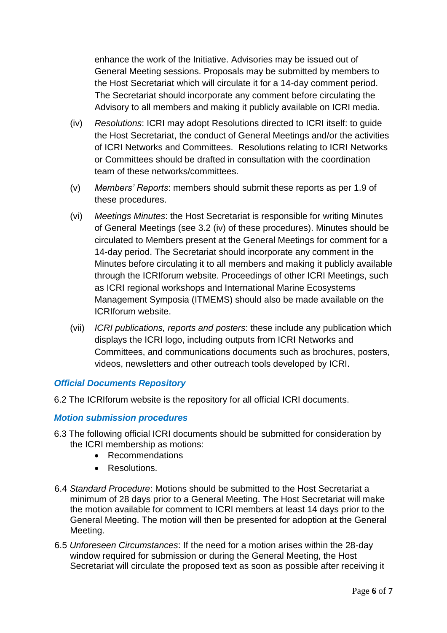enhance the work of the Initiative. Advisories may be issued out of General Meeting sessions. Proposals may be submitted by members to the Host Secretariat which will circulate it for a 14-day comment period. The Secretariat should incorporate any comment before circulating the Advisory to all members and making it publicly available on ICRI media.

- (iv) *Resolutions*: ICRI may adopt Resolutions directed to ICRI itself: to guide the Host Secretariat, the conduct of General Meetings and/or the activities of ICRI Networks and Committees. Resolutions relating to ICRI Networks or Committees should be drafted in consultation with the coordination team of these networks/committees.
- (v) *Members' Reports*: members should submit these reports as per 1.9 of these procedures.
- (vi) *Meetings Minutes*: the Host Secretariat is responsible for writing Minutes of General Meetings (see 3.2 (iv) of these procedures). Minutes should be circulated to Members present at the General Meetings for comment for a 14-day period. The Secretariat should incorporate any comment in the Minutes before circulating it to all members and making it publicly available through the ICRIforum website. Proceedings of other ICRI Meetings, such as ICRI regional workshops and International Marine Ecosystems Management Symposia (ITMEMS) should also be made available on the ICRIforum website.
- (vii) *ICRI publications, reports and posters*: these include any publication which displays the ICRI logo, including outputs from ICRI Networks and Committees, and communications documents such as brochures, posters, videos, newsletters and other outreach tools developed by ICRI.

# *Official Documents Repository*

6.2 The ICRIforum website is the repository for all official ICRI documents.

# *Motion submission procedures*

- 6.3 The following official ICRI documents should be submitted for consideration by the ICRI membership as motions:
	- Recommendations
	- Resolutions.
- 6.4 *Standard Procedure*: Motions should be submitted to the Host Secretariat a minimum of 28 days prior to a General Meeting. The Host Secretariat will make the motion available for comment to ICRI members at least 14 days prior to the General Meeting. The motion will then be presented for adoption at the General Meeting.
- 6.5 *Unforeseen Circumstances*: If the need for a motion arises within the 28-day window required for submission or during the General Meeting, the Host Secretariat will circulate the proposed text as soon as possible after receiving it